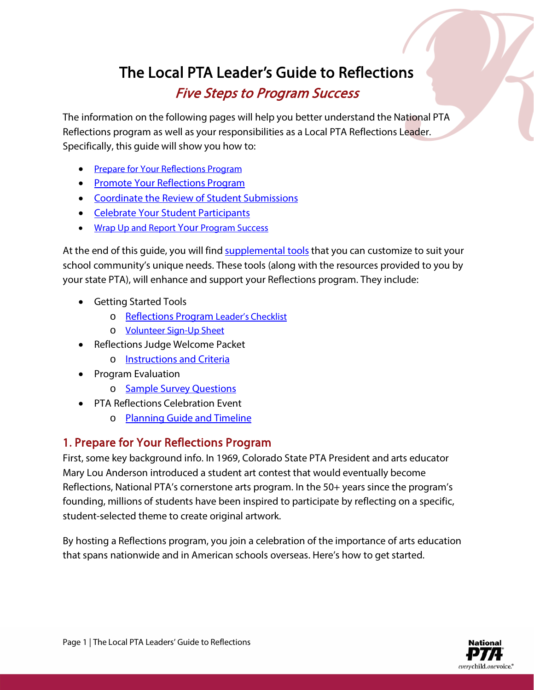# The Local PTA Leader's Guide to Reflections

## Five Steps to Program Success

The information on the following pages will help you better understand the National PTA Reflections program as well as your responsibilities as a Local PTA Reflections Leader. Specifically, this guide will show you how to:

- Prepare for [Your Reflections Program](#page-0-0)
- [Promote Your Reflections Program](#page-2-0)
- [Coordinate the Review of Student Submissions](#page-3-0)
- [Celebrate Your Student Participants](#page-5-0)
- [Wrap Up and Report Your Program Success](#page-6-0)

At the end of this guide, you will find [supplemental](#page-8-0) tools that you can customize to suit your school community's unique needs. These tools (along with the resources provided to you by your state PTA), will enhance and support your Reflections program. They include:

- Getting Started Tools
	- o [Reflections Program Leader's Checklist](#page-8-1)
	- o [Volunteer Sign-Up Sheet](#page-9-0)
- Reflections Judge Welcome Packet
	- o **[Instructions](#page-10-0) and Criteria**
- Program Evaluation
	- o [Sample Survey Questions](#page-13-0)
- PTA Reflections Celebration Event
	- o [Planning Guide](#page-14-0) and Timeline

### <span id="page-0-0"></span>1. Prepare for Your Reflections Program

First, some key background info. In 1969, Colorado State PTA President and arts educator Mary Lou Anderson introduced a student art contest that would eventually become Reflections, National PTA's cornerstone arts program. In the 50+ years since the program's founding, millions of students have been inspired to participate by reflecting on a specific, student-selected theme to create original artwork.

By hosting a Reflections program, you join a celebration of the importance of arts education that spans nationwide and in American schools overseas. Here's how to get started.

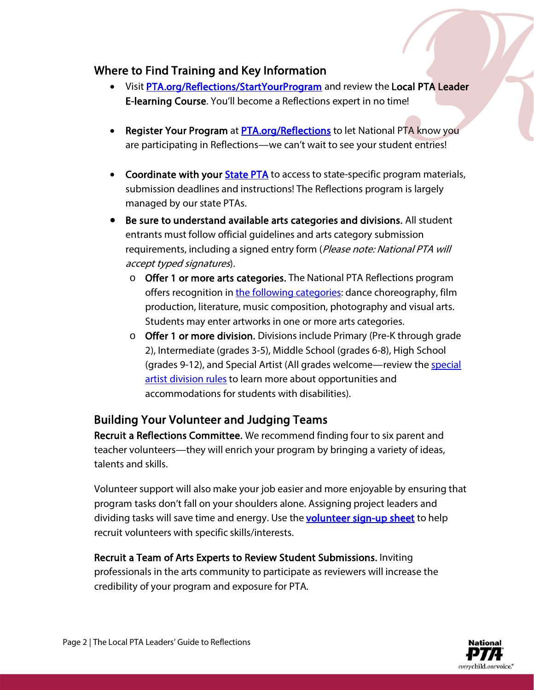#### Where to Find Training and Key Information

- Visi[t PTA.org/Reflections/](https://www.pta.org/home/programs/reflections/startyourprogram)StartYourProgram and review the Local PTA Leader E-learning Course. You'll become a Reflections expert in no time!
- Register Your Program at **PTA.org/Reflections** to let National PTA know you are participating in Reflections—we can't wait to see your student entries!
- Coordinate with your **State PTA** to access to state-specific program materials, submission deadlines and instructions! The Reflections program is largely managed by our state PTAs.
- Be sure to understand available arts categories and divisions. All student entrants must follow official guidelines and arts category submission requirements, including a signed entry form (Please note: National PTA will accept typed signatures).
	- o Offer 1 or more arts categories. The National PTA Reflections program offers recognition in [the following categories:](https://www.pta.org/home/programs/reflections) dance choreography, film production, literature, music composition, photography and visual arts. Students may enter artworks in one or more arts categories.
	- o Offer 1 or more division. Divisions include Primary (Pre-K through grade 2), Intermediate (grades 3-5), Middle School (grades 6-8), High School (grades 9-12), and Special Artist (All grades welcome—review th[e special](https://www.pta.org/home/programs/reflections)  [artist division rules](https://www.pta.org/home/programs/reflections) to learn more about opportunities and accommodations for students with disabilities).

### Building Your Volunteer and Judging Teams

Recruit a Reflections Committee. We recommend finding four to six parent and teacher volunteers—they will enrich your program by bringing a variety of ideas, talents and skills.

Volunteer support will also make your job easier and more enjoyable by ensuring that program tasks don't fall on your shoulders alone. Assigning project leaders and dividing tasks will save time and energy. Use the **volunteer sign-up sheet** to help recruit volunteers with specific skills/interests.

Recruit a Team of Arts Experts to Review Student Submissions. Inviting professionals in the arts community to participate as reviewers will increase the credibility of your program and exposure for PTA.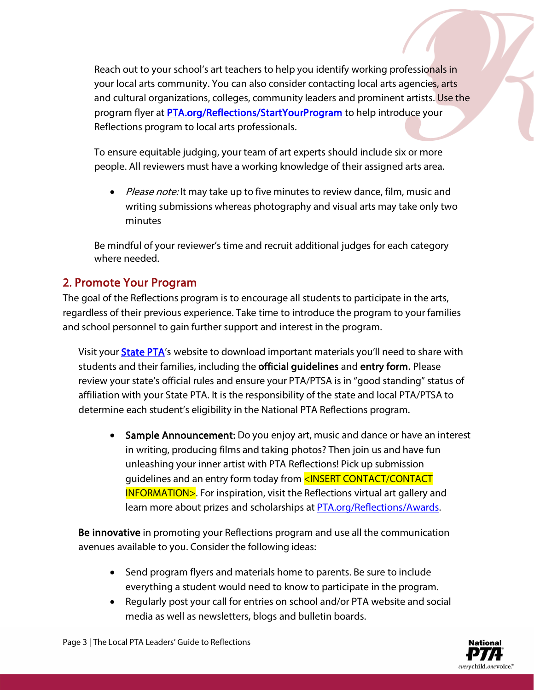Reach out to your school's art teachers to help you identify working professionals in your local arts community. You can also consider contacting local arts agencies, arts and cultural organizations, colleges, community leaders and prominent artists. Use the program flyer at [PTA.org/Reflections/](https://www.pta.org/home/programs/reflections/startyourprogram)StartYourProgram to help introduce your Reflections program to local arts professionals.

To ensure equitable judging, your team of art experts should include six or more people. All reviewers must have a working knowledge of their assigned arts area.

• Please note: It may take up to five minutes to review dance, film, music and writing submissions whereas photography and visual arts may take only two minutes

Be mindful of your reviewer's time and recruit additional judges for each category where needed.

### <span id="page-2-0"></span>2. Promote Your Program

The goal of the Reflections program is to encourage all students to participate in the arts, regardless of their previous experience. Take time to introduce the program to your families and school personnel to gain further support and interest in the program.

Visit your [State PTA'](https://www.pta.org/home/programs/reflections/reflections-state-programs)s website to download important materials you'll need to share with students and their families, including the **official guidelines** and **entry form.** Please review your state's official rules and ensure your PTA/PTSA is in "good standing" status of affiliation with your State PTA. It is the responsibility of the state and local PTA/PTSA to determine each student's eligibility in the National PTA Reflections program.

• Sample Announcement: Do you enjoy art, music and dance or have an interest in writing, producing films and taking photos? Then join us and have fun unleashing your inner artist with PTA Reflections! Pick up submission guidelines and an entry form today from <INSERT CONTACT/CONTACT INFORMATION>. For inspiration, visit the Reflections virtual art gallery and learn more about prizes and scholarships at **PTA.org/Reflections/Awards.** 

Be innovative in promoting your Reflections program and use all the communication avenues available to you. Consider the following ideas:

- Send program flyers and materials home to parents. Be sure to include everything a student would need to know to participate in the program.
- Regularly post your call for entries on school and/or PTA website and social media as well as newsletters, blogs and bulletin boards.

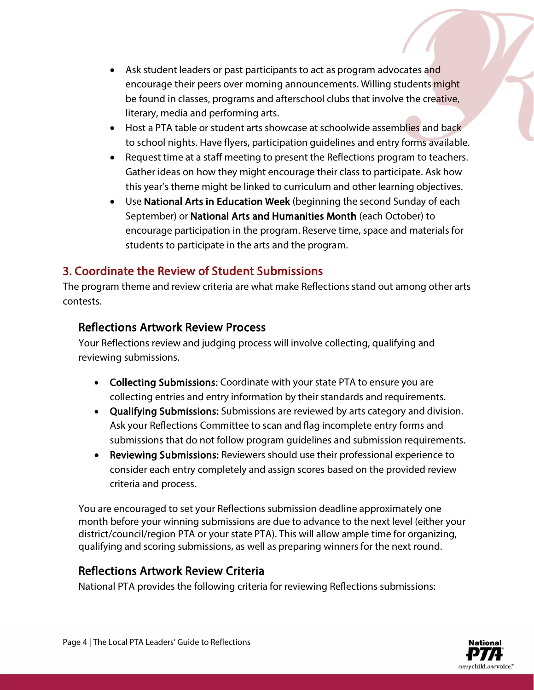- Ask student leaders or past participants to act as program advocates and encourage their peers over morning announcements. Willing students might be found in classes, programs and afterschool clubs that involve the creative, literary, media and performing arts.
- Host a PTA table or student arts showcase at schoolwide assemblies and back to school nights. Have flyers, participation guidelines and entry forms available.
- Request time at a staff meeting to present the Reflections program to teachers. Gather ideas on how they might encourage their class to participate. Ask how this year's theme might be linked to curriculum and other learning objectives.
- Use National Arts in Education Week (beginning the second Sunday of each September) or National Arts and Humanities Month (each October) to encourage participation in the program. Reserve time, space and materials for students to participate in the arts and the program.

## <span id="page-3-0"></span>3. Coordinate the Review of Student Submissions

The program theme and review criteria are what make Reflections stand out among other arts contests.

#### Reflections Artwork Review Process

Your Reflections review and judging process will involve collecting, qualifying and reviewing submissions.

- Collecting Submissions: Coordinate with your state PTA to ensure you are collecting entries and entry information by their standards and requirements.
- Qualifying Submissions: Submissions are reviewed by arts category and division. Ask your Reflections Committee to scan and flag incomplete entry forms and submissions that do not follow program guidelines and submission requirements.
- Reviewing Submissions: Reviewers should use their professional experience to consider each entry completely and assign scores based on the provided review criteria and process.

You are encouraged to set your Reflections submission deadline approximately one month before your winning submissions are due to advance to the next level (either your district/council/region PTA or your state PTA). This will allow ample time for organizing, qualifying and scoring submissions, as well as preparing winners for the next round.

### Reflections Artwork Review Criteria

National PTA provides the following criteria for reviewing Reflections submissions: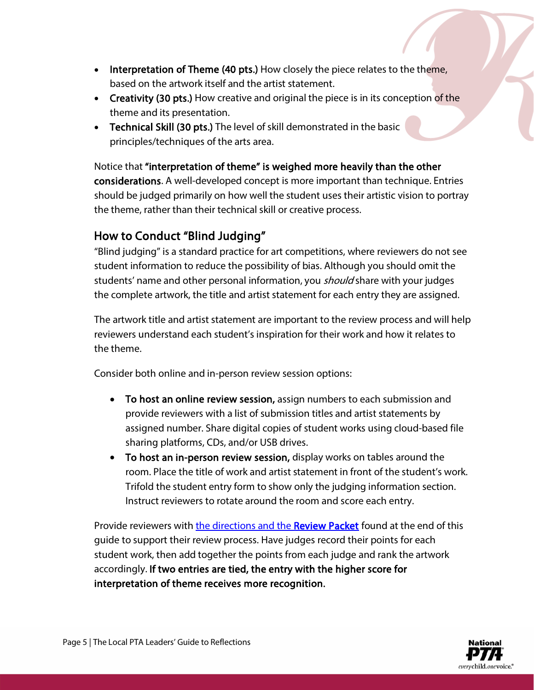- Interpretation of Theme (40 pts.) How closely the piece relates to the theme, based on the artwork itself and the artist statement.
- Creativity (30 pts.) How creative and original the piece is in its conception of the theme and its presentation.
- Technical Skill (30 pts.) The level of skill demonstrated in the basic principles/techniques of the arts area.

Notice that "interpretation of theme" is weighed more heavily than the other considerations. A well-developed concept is more important than technique. Entries should be judged primarily on how well the student uses their artistic vision to portray the theme, rather than their technical skill or creative process.

## How to Conduct "Blind Judging"

"Blind judging" is a standard practice for art competitions, where reviewers do not see student information to reduce the possibility of bias. Although you should omit the students' name and other personal information, you *should* share with your judges the complete artwork, the title and artist statement for each entry they are assigned.

The artwork title and artist statement are important to the review process and will help reviewers understand each student's inspiration for their work and how it relates to the theme.

Consider both online and in-person review session options:

- To host an online review session, assign numbers to each submission and provide reviewers with a list of submission titles and artist statements by assigned number. Share digital copies of student works using cloud-based file sharing platforms, CDs, and/or USB drives.
- To host an in-person review session, display works on tables around the room. Place the title of work and artist statement in front of the student's work. Trifold the student entry form to show only the judging information section. Instruct reviewers to rotate around the room and score each entry.

Provide reviewers with [the directions and the Review Packet](#page-10-0) found at the end of this guide to support their review process. Have judges record their points for each student work, then add together the points from each judge and rank the artwork accordingly. If two entries are tied, the entry with the higher score for interpretation of theme receives more recognition.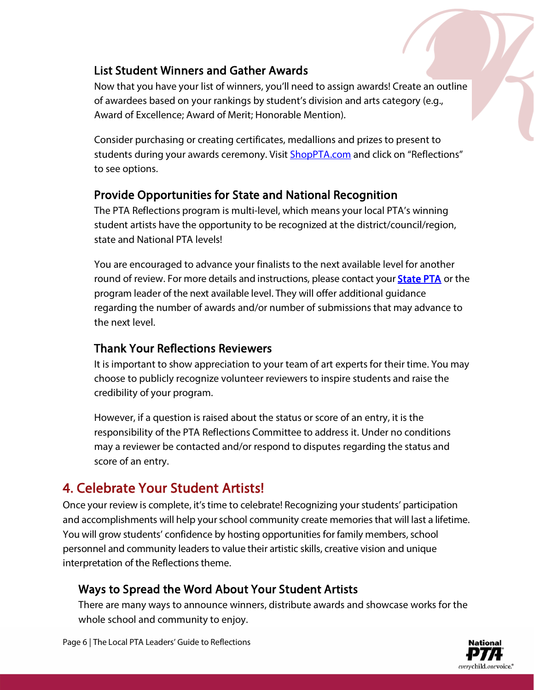### List Student Winners and Gather Awards

Now that you have your list of winners, you'll need to assign awards! Create an outline of awardees based on your rankings by student's division and arts category (e.g., Award of Excellence; Award of Merit; Honorable Mention).

Consider purchasing or creating certificates, medallions and prizes to present to students during your awards ceremony. Visit **ShopPTA.com** and click on "Reflections" to see options.

## Provide Opportunities for State and National Recognition

The PTA Reflections program is multi-level, which means your local PTA's winning student artists have the opportunity to be recognized at the district/council/region, state and National PTA levels!

You are encouraged to advance your finalists to the next available level for another round of review. For more details and instructions, please contact your **State PTA** or the program leader of the next available level. They will offer additional guidance regarding the number of awards and/or number of submissions that may advance to the next level.

### Thank Your Reflections Reviewers

It is important to show appreciation to your team of art experts for their time. You may choose to publicly recognize volunteer reviewers to inspire students and raise the credibility of your program.

However, if a question is raised about the status or score of an entry, it is the responsibility of the PTA Reflections Committee to address it. Under no conditions may a reviewer be contacted and/or respond to disputes regarding the status and score of an entry.

## <span id="page-5-0"></span>4. Celebrate Your Student Artists!

Once your review is complete, it's time to celebrate! Recognizing your students' participation and accomplishments will help your school community create memories that will last a lifetime. You will grow students' confidence by hosting opportunities for family members, school personnel and community leaders to value their artistic skills, creative vision and unique interpretation of the Reflections theme.

### Ways to Spread the Word About Your Student Artists

There are many ways to announce winners, distribute awards and showcase works for the whole school and community to enjoy.

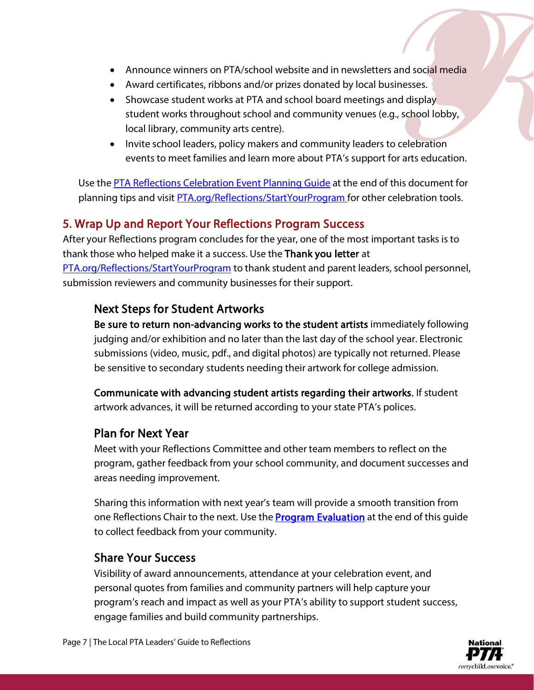- Announce winners on PTA/school website and in newsletters and social media
- Award certificates, ribbons and/or prizes donated by local businesses.
- Showcase student works at PTA and school board meetings and display student works throughout school and community venues (e.g., school lobby, local library, community arts centre).
- Invite school leaders, policy makers and community leaders to celebration events to meet families and learn more about PTA's support for arts education.

Use the [PTA Reflections Celebration Event Planning Guide](#page-14-0) at the end of this document for planning tips and visit [PTA.org/Reflections/StartYourProgram](https://www.pta.org/home/programs/reflections/startyourprogram) for other celebration tools.

#### <span id="page-6-0"></span>5. Wrap Up and Report Your Reflections Program Success

After your Reflections program concludes for the year, one of the most important tasks is to thank those who helped make it a success. Use the Thank you letter at [PTA.org/Reflections/StartYourProgram](https://www.pta.org/home/programs/reflections/startyourprogram) to thank student and parent leaders, school personnel, submission reviewers and community businesses for their support.

#### Next Steps for Student Artworks

Be sure to return non-advancing works to the student artists immediately following judging and/or exhibition and no later than the last day of the school year. Electronic submissions (video, music, pdf., and digital photos) are typically not returned. Please be sensitive to secondary students needing their artwork for college admission.

Communicate with advancing student artists regarding their artworks. If student artwork advances, it will be returned according to your state PTA's polices.

#### Plan for Next Year

Meet with your Reflections Committee and other team members to reflect on the program, gather feedback from your school community, and document successes and areas needing improvement.

Sharing this information with next year's team will provide a smooth transition from one Reflections Chair to the next. Use the **Program Evaluation** at the end of this guide to collect feedback from your community.

#### Share Your Success

Visibility of award announcements, attendance at your celebration event, and personal quotes from families and community partners will help capture your program's reach and impact as well as your PTA's ability to support student success, engage families and build community partnerships.

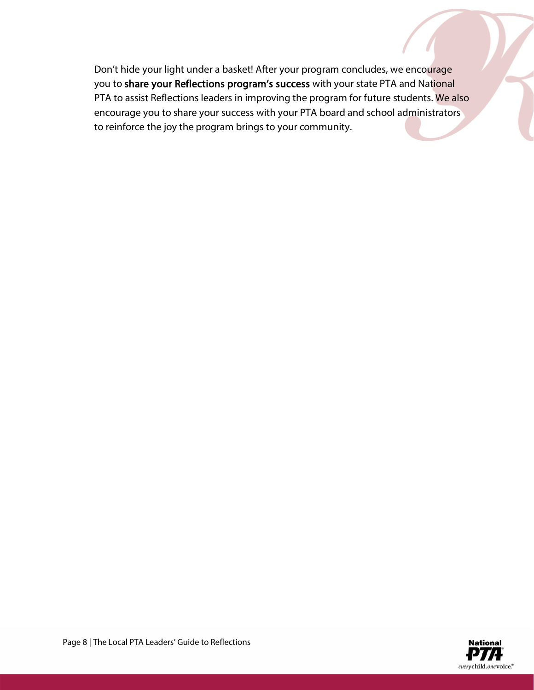Don't hide your light under a basket! After your program concludes, we encourage you to share your Reflections program's success with your state PTA and National PTA to assist Reflections leaders in improving the program for future students. We also encourage you to share your success with your PTA board and school administrators to reinforce the joy the program brings to your community.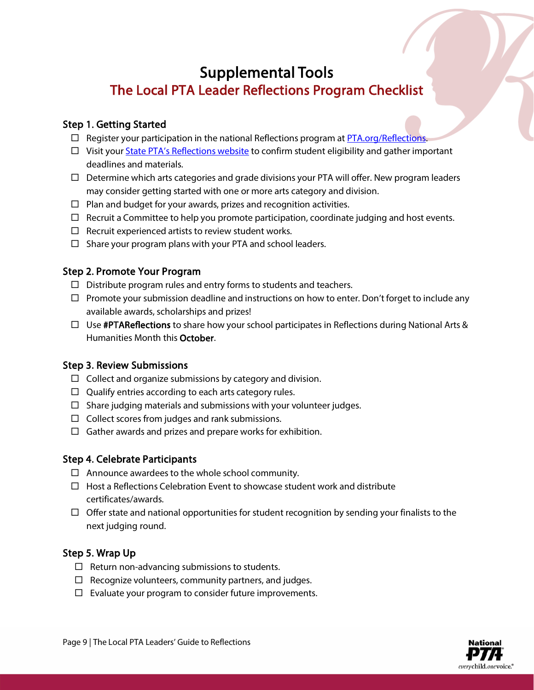## <span id="page-8-0"></span>Supplemental Tools The Local PTA Leader Reflections Program Checklist

#### <span id="page-8-1"></span>Step 1. Getting Started

- $\Box$  Register your participation in the national Reflections program at [PTA.org/Reflections.](http://www.pta.org/reflections)
- $\Box$  Visit your State PTA's [Reflections website](https://www.pta.org/home/programs/reflections/startyourprogram#guidelines) to confirm student eligibility and gather important deadlines and materials.
- $\Box$  Determine which arts categories and grade divisions your PTA will offer. New program leaders may consider getting started with one or more arts category and division.
- $\Box$  Plan and budget for your awards, prizes and recognition activities.
- $\Box$  Recruit a Committee to help you promote participation, coordinate judging and host events.
- $\Box$  Recruit experienced artists to review student works.
- $\Box$  Share your program plans with your PTA and school leaders.

#### Step 2. Promote Your Program

- $\Box$  Distribute program rules and entry forms to students and teachers.
- $\Box$  Promote your submission deadline and instructions on how to enter. Don't forget to include any available awards, scholarships and prizes!
- $\Box$  Use **#PTAReflections** to share how your school participates in Reflections during National Arts & Humanities Month this October.

#### Step 3. Review Submissions

- $\Box$  Collect and organize submissions by category and division.
- $\Box$  Qualify entries according to each arts category rules.
- $\Box$  Share judging materials and submissions with your volunteer judges.
- $\Box$  Collect scores from judges and rank submissions.
- $\Box$  Gather awards and prizes and prepare works for exhibition.

#### Step 4. Celebrate Participants

- $\Box$  Announce awardees to the whole school community.
- $\Box$  Host a Reflections Celebration Event to showcase student work and distribute certificates/awards.
- $\Box$  Offer state and national opportunities for student recognition by sending your finalists to the next judging round.

#### Step 5. Wrap Up

- $\Box$  Return non-advancing submissions to students.
- $\Box$  Recognize volunteers, community partners, and judges.
- $\square$  Evaluate your program to consider future improvements.

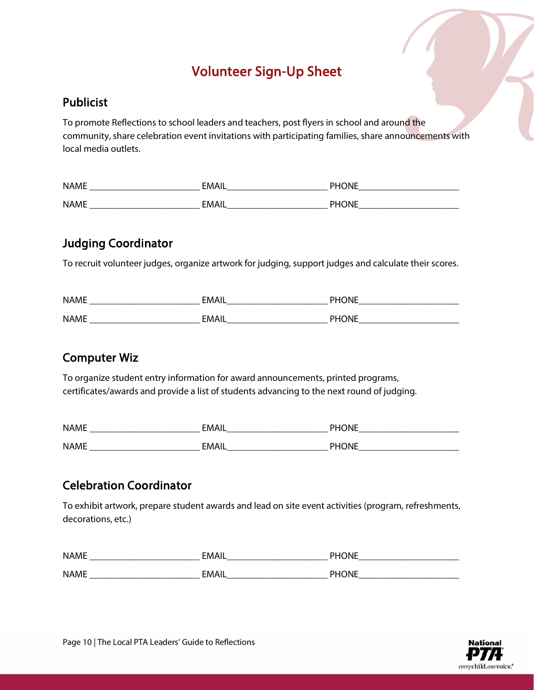## Volunteer Sign-Up Sheet

#### <span id="page-9-0"></span>Publicist

To promote Reflections to school leaders and teachers, post flyers in school and around the community, share celebration event invitations with participating families, share announcements with local media outlets.

| <b>NAME</b> | FMAII | <b>DUALE</b> |
|-------------|-------|--------------|
| <b>NAME</b> | EMAII |              |

### Judging Coordinator

To recruit volunteer judges, organize artwork for judging, support judges and calculate their scores.

| <b>NAME</b> | <b>FMA''</b> | <b>DUALIT</b> |
|-------------|--------------|---------------|
| <b>NAME</b> | ⊑MAı<br>--   |               |

#### Computer Wiz

To organize student entry information for award announcements, printed programs, certificates/awards and provide a list of students advancing to the next round of judging.

| <b>NAME</b> | <b>FMAI'</b> | <b>DLIONIE</b> |
|-------------|--------------|----------------|
| <b>NAME</b> | FMAII        | <b>PHONE</b>   |

## Celebration Coordinator

To exhibit artwork, prepare student awards and lead on site event activities (program, refreshments, decorations, etc.)

| <b>NAME</b> | <b>EMA</b> | P11Q11F<br>. . |
|-------------|------------|----------------|
|             |            |                |
| <b>NAME</b> | FMA.       |                |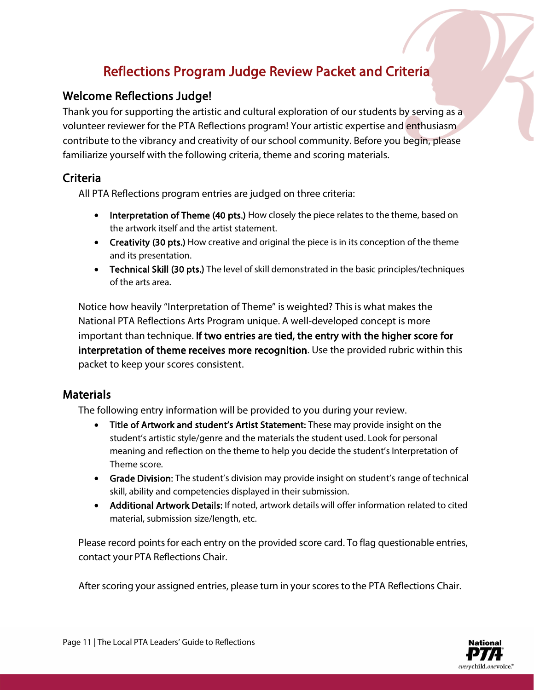## Reflections Program Judge Review Packet and Criteria

#### <span id="page-10-0"></span>Welcome Reflections Judge!

Thank you for supporting the artistic and cultural exploration of our students by serving as a volunteer reviewer for the PTA Reflections program! Your artistic expertise and enthusiasm contribute to the vibrancy and creativity of our school community. Before you begin, please familiarize yourself with the following criteria, theme and scoring materials.

#### Criteria

All PTA Reflections program entries are judged on three criteria:

- Interpretation of Theme (40 pts.) How closely the piece relates to the theme, based on the artwork itself and the artist statement.
- Creativity (30 pts.) How creative and original the piece is in its conception of the theme and its presentation.
- Technical Skill (30 pts.) The level of skill demonstrated in the basic principles/techniques of the arts area.

Notice how heavily "Interpretation of Theme" is weighted? This is what makes the National PTA Reflections Arts Program unique. A well-developed concept is more important than technique. If two entries are tied, the entry with the higher score for interpretation of theme receives more recognition. Use the provided rubric within this packet to keep your scores consistent.

#### **Materials**

The following entry information will be provided to you during your review.

- Title of Artwork and student's Artist Statement: These may provide insight on the student's artistic style/genre and the materials the student used. Look for personal meaning and reflection on the theme to help you decide the student's Interpretation of Theme score.
- Grade Division: The student's division may provide insight on student's range of technical skill, ability and competencies displayed in their submission.
- Additional Artwork Details: If noted, artwork details will offer information related to cited material, submission size/length, etc.

Please record points for each entry on the provided score card. To flag questionable entries, contact your PTA Reflections Chair.

After scoring your assigned entries, please turn in your scores to the PTA Reflections Chair.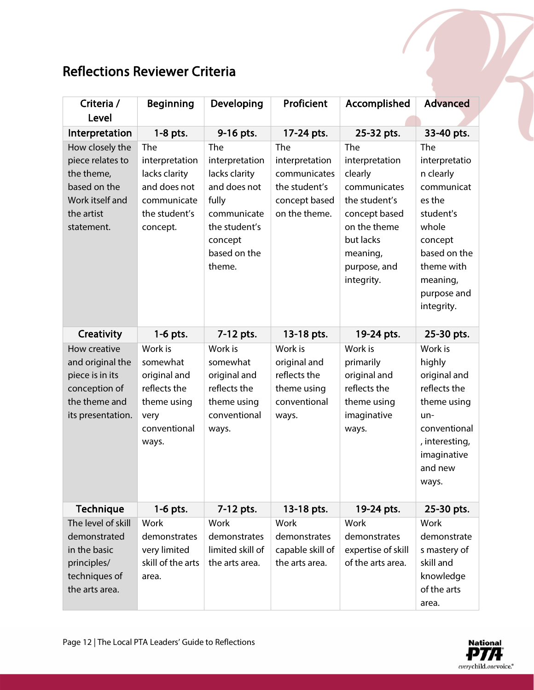## Reflections Reviewer Criteria

| Criteria /<br>Level                                                                                              | <b>Beginning</b>                                                                                    | Developing                                                                                                                           | Proficient                                                                               | Accomplished                                                                                                                                              | <b>Advanced</b>                                                                                                                                                   |
|------------------------------------------------------------------------------------------------------------------|-----------------------------------------------------------------------------------------------------|--------------------------------------------------------------------------------------------------------------------------------------|------------------------------------------------------------------------------------------|-----------------------------------------------------------------------------------------------------------------------------------------------------------|-------------------------------------------------------------------------------------------------------------------------------------------------------------------|
| Interpretation                                                                                                   | $1-8$ pts.                                                                                          | 9-16 pts.                                                                                                                            | 17-24 pts.                                                                               | 25-32 pts.                                                                                                                                                | 33-40 pts.                                                                                                                                                        |
| How closely the<br>piece relates to<br>the theme,<br>based on the<br>Work itself and<br>the artist<br>statement. | The<br>interpretation<br>lacks clarity<br>and does not<br>communicate<br>the student's<br>concept.  | The<br>interpretation<br>lacks clarity<br>and does not<br>fully<br>communicate<br>the student's<br>concept<br>based on the<br>theme. | The<br>interpretation<br>communicates<br>the student's<br>concept based<br>on the theme. | The<br>interpretation<br>clearly<br>communicates<br>the student's<br>concept based<br>on the theme<br>but lacks<br>meaning,<br>purpose, and<br>integrity. | The<br>interpretatio<br>n clearly<br>communicat<br>es the<br>student's<br>whole<br>concept<br>based on the<br>theme with<br>meaning,<br>purpose and<br>integrity. |
| Creativity                                                                                                       | $1-6$ pts.                                                                                          | 7-12 pts.                                                                                                                            | 13-18 pts.                                                                               | 19-24 pts.                                                                                                                                                | 25-30 pts.                                                                                                                                                        |
| How creative<br>and original the<br>piece is in its<br>conception of<br>the theme and<br>its presentation.       | Work is<br>somewhat<br>original and<br>reflects the<br>theme using<br>very<br>conventional<br>ways. | Work is<br>somewhat<br>original and<br>reflects the<br>theme using<br>conventional<br>ways.                                          | Work is<br>original and<br>reflects the<br>theme using<br>conventional<br>ways.          | Work is<br>primarily<br>original and<br>reflects the<br>theme using<br>imaginative<br>ways.                                                               | Work is<br>highly<br>original and<br>reflects the<br>theme using<br>$un-$<br>conventional<br>, interesting,<br>imaginative<br>and new<br>ways.                    |
| <b>Technique</b>                                                                                                 | $1-6$ pts.                                                                                          | 7-12 pts.                                                                                                                            | 13-18 pts.                                                                               | 19-24 pts.                                                                                                                                                | 25-30 pts.                                                                                                                                                        |
| The level of skill<br>demonstrated<br>in the basic<br>principles/<br>techniques of<br>the arts area.             | Work<br>demonstrates<br>very limited<br>skill of the arts<br>area.                                  | Work<br>demonstrates<br>limited skill of<br>the arts area.                                                                           | Work<br>demonstrates<br>capable skill of<br>the arts area.                               | Work<br>demonstrates<br>expertise of skill<br>of the arts area.                                                                                           | Work<br>demonstrate<br>s mastery of<br>skill and<br>knowledge<br>of the arts<br>area.                                                                             |

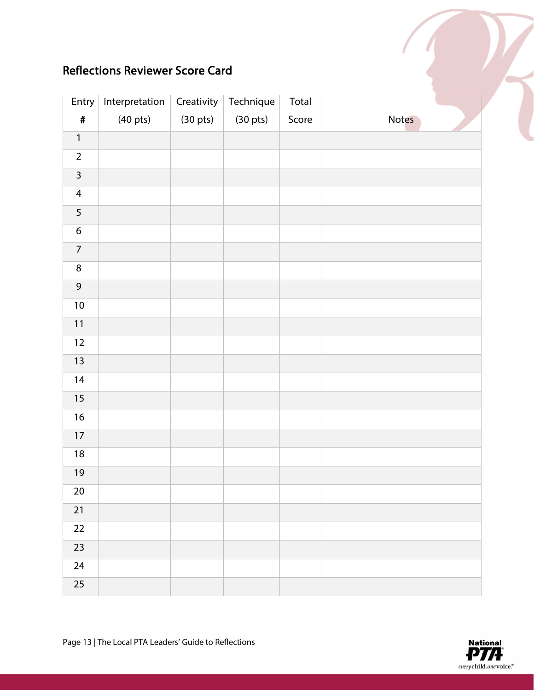## Reflections Reviewer Score Card

| Entry            | Interpretation     | Creativity         | Technique          | Total |       |
|------------------|--------------------|--------------------|--------------------|-------|-------|
| $\pmb{\#}$       | $(40 \text{ pts})$ | $(30 \text{ pts})$ | $(30 \text{ pts})$ | Score | Notes |
| $\mathbf{1}$     |                    |                    |                    |       |       |
| $\overline{2}$   |                    |                    |                    |       |       |
| $\mathbf{3}$     |                    |                    |                    |       |       |
| $\overline{4}$   |                    |                    |                    |       |       |
| 5                |                    |                    |                    |       |       |
| $\boldsymbol{6}$ |                    |                    |                    |       |       |
| $\overline{7}$   |                    |                    |                    |       |       |
| $\bf 8$          |                    |                    |                    |       |       |
| $\mathsf 9$      |                    |                    |                    |       |       |
| $10$             |                    |                    |                    |       |       |
| $11$             |                    |                    |                    |       |       |
| 12               |                    |                    |                    |       |       |
| 13               |                    |                    |                    |       |       |
| 14               |                    |                    |                    |       |       |
| 15               |                    |                    |                    |       |       |
| $16\,$           |                    |                    |                    |       |       |
| $17\,$           |                    |                    |                    |       |       |
| $18\,$           |                    |                    |                    |       |       |
| 19               |                    |                    |                    |       |       |
| $20\,$           |                    |                    |                    |       |       |
| $21$             |                    |                    |                    |       |       |
| 22               |                    |                    |                    |       |       |
| 23               |                    |                    |                    |       |       |
| 24               |                    |                    |                    |       |       |
| $\overline{25}$  |                    |                    |                    |       |       |

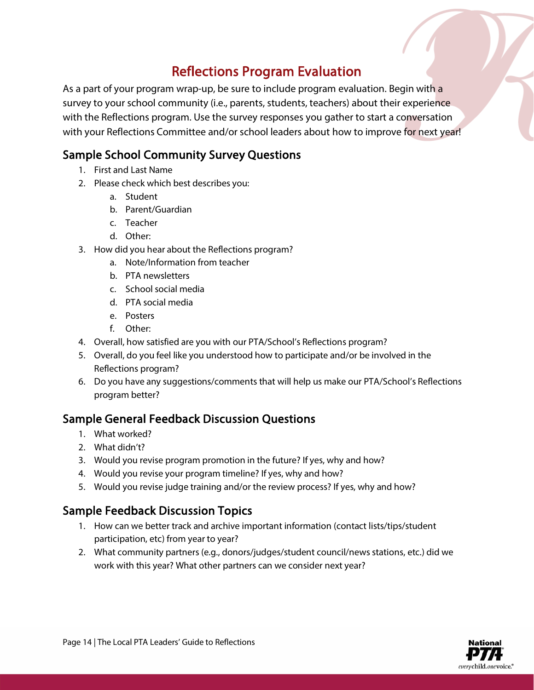## Reflections Program Evaluation

<span id="page-13-0"></span>As a part of your program wrap-up, be sure to include program evaluation. Begin with a survey to your school community (i.e., parents, students, teachers) about their experience with the Reflections program. Use the survey responses you gather to start a conversation with your Reflections Committee and/or school leaders about how to improve for next year!

#### Sample School Community Survey Questions

- 1. First and Last Name
- 2. Please check which best describes you:
	- a. Student
	- b. Parent/Guardian
	- c. Teacher
	- d. Other:
- 3. How did you hear about the Reflections program?
	- a. Note/Information from teacher
	- b. PTA newsletters
	- c. School social media
	- d. PTA social media
	- e. Posters
	- f. Other:
- 4. Overall, how satisfied are you with our PTA/School's Reflections program?
- 5. Overall, do you feel like you understood how to participate and/or be involved in the Reflections program?
- 6. Do you have any suggestions/comments that will help us make our PTA/School's Reflections program better?

### Sample General Feedback Discussion Questions

- 1. What worked?
- 2. What didn't?
- 3. Would you revise program promotion in the future? If yes, why and how?
- 4. Would you revise your program timeline? If yes, why and how?
- 5. Would you revise judge training and/or the review process? If yes, why and how?

### Sample Feedback Discussion Topics

- 1. How can we better track and archive important information (contact lists/tips/student participation, etc) from year to year?
- 2. What community partners (e.g., donors/judges/student council/news stations, etc.) did we work with this year? What other partners can we consider next year?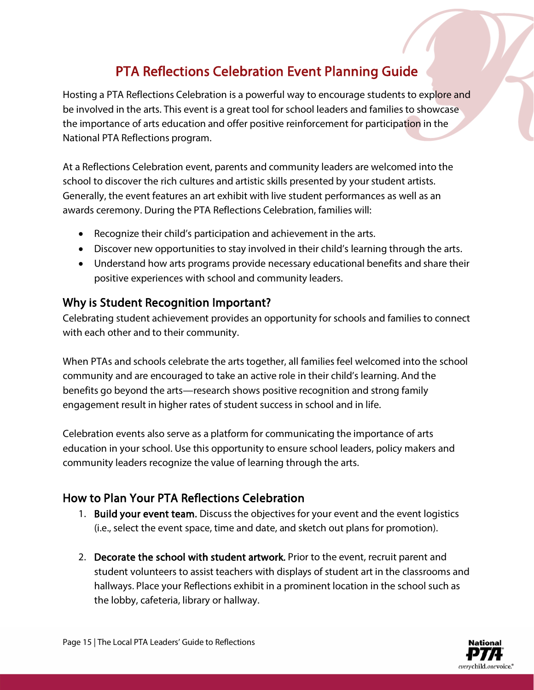## PTA Reflections Celebration Event Planning Guide

<span id="page-14-0"></span>Hosting a PTA Reflections Celebration is a powerful way to encourage students to explore and be involved in the arts. This event is a great tool for school leaders and families to showcase the importance of arts education and offer positive reinforcement for participation in the National PTA Reflections program.

At a Reflections Celebration event, parents and community leaders are welcomed into the school to discover the rich cultures and artistic skills presented by your student artists. Generally, the event features an art exhibit with live student performances as well as an awards ceremony. During the PTA Reflections Celebration, families will:

- Recognize their child's participation and achievement in the arts.
- Discover new opportunities to stay involved in their child's learning through the arts.
- Understand how arts programs provide necessary educational benefits and share their positive experiences with school and community leaders.

#### Why is Student Recognition Important?

Celebrating student achievement provides an opportunity for schools and families to connect with each other and to their community.

When PTAs and schools celebrate the arts together, all families feel welcomed into the school community and are encouraged to take an active role in their child's learning. And the benefits go beyond the arts—research shows positive recognition and strong family engagement result in higher rates of student success in school and in life.

Celebration events also serve as a platform for communicating the importance of arts education in your school. Use this opportunity to ensure school leaders, policy makers and community leaders recognize the value of learning through the arts.

### How to Plan Your PTA Reflections Celebration

- 1. Build your event team. Discuss the objectives for your event and the event logistics (i.e., select the event space, time and date, and sketch out plans for promotion).
- 2. Decorate the school with student artwork. Prior to the event, recruit parent and student volunteers to assist teachers with displays of student art in the classrooms and hallways. Place your Reflections exhibit in a prominent location in the school such as the lobby, cafeteria, library or hallway.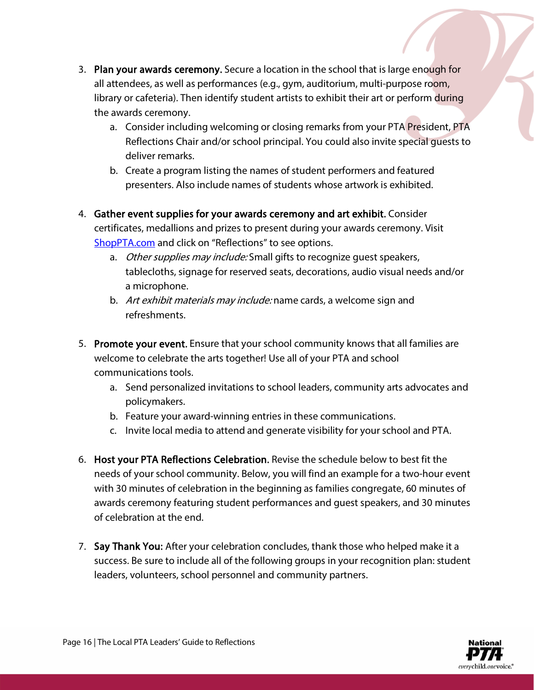- 3. Plan your awards ceremony. Secure a location in the school that is large enough for all attendees, as well as performances (e.g., gym, auditorium, multi-purpose room, library or cafeteria). Then identify student artists to exhibit their art or perform during the awards ceremony.
	- a. Consider including welcoming or closing remarks from your PTA President, PTA Reflections Chair and/or school principal. You could also invite special guests to deliver remarks.
	- b. Create a program listing the names of student performers and featured presenters. Also include names of students whose artwork is exhibited.
- 4. Gather event supplies for your awards ceremony and art exhibit. Consider certificates, medallions and prizes to present during your awards ceremony. Visit [ShopPTA.com](https://www.shoppta.com/) and click on "Reflections" to see options.
	- a. Other supplies may include: Small gifts to recognize guest speakers, tablecloths, signage for reserved seats, decorations, audio visual needs and/or a microphone.
	- b. Art exhibit materials may include: name cards, a welcome sign and refreshments.
- 5. Promote your event. Ensure that your school community knows that all families are welcome to celebrate the arts together! Use all of your PTA and school communications tools.
	- a. Send personalized invitations to school leaders, community arts advocates and policymakers.
	- b. Feature your award-winning entries in these communications.
	- c. Invite local media to attend and generate visibility for your school and PTA.
- 6. Host your PTA Reflections Celebration. Revise the schedule below to best fit the needs of your school community. Below, you will find an example for a two-hour event with 30 minutes of celebration in the beginning as families congregate, 60 minutes of awards ceremony featuring student performances and guest speakers, and 30 minutes of celebration at the end.
- 7. Say Thank You: After your celebration concludes, thank those who helped make it a success. Be sure to include all of the following groups in your recognition plan: student leaders, volunteers, school personnel and community partners.